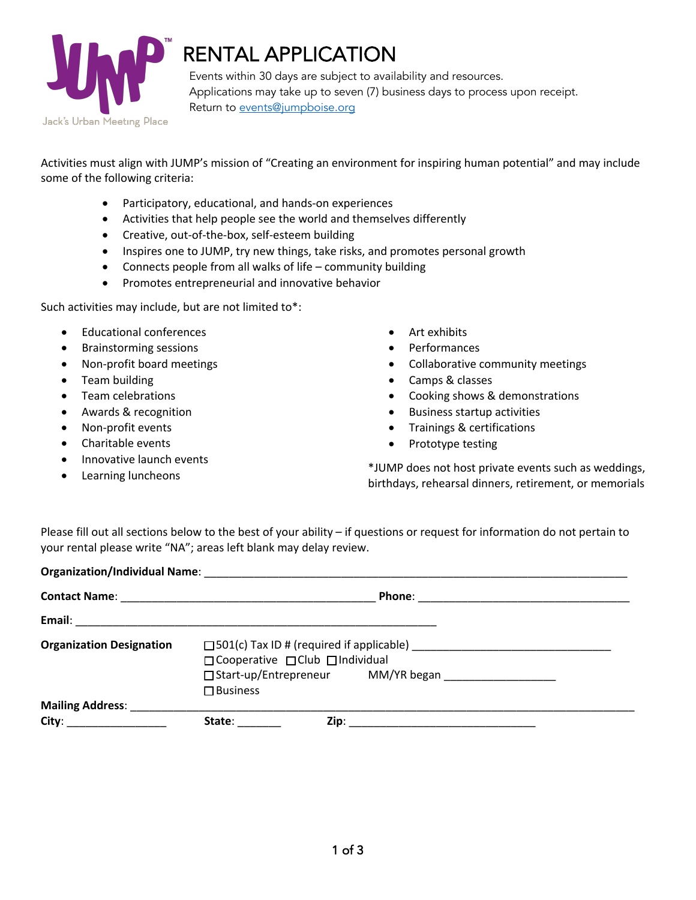

# RENTAL APPLICATION

Events within 30 days are subject to availability and resources. Applications may take up to seven (7) business days to process upon receipt. Return to events@jumpboise.org

Activities must align with JUMP's mission of "Creating an environment for inspiring human potential" and may include some of the following criteria:

- Participatory, educational, and hands-on experiences
- Activities that help people see the world and themselves differently
- Creative, out-of-the-box, self-esteem building
- Inspires one to JUMP, try new things, take risks, and promotes personal growth
- Connects people from all walks of life community building
- Promotes entrepreneurial and innovative behavior

Such activities may include, but are not limited to\*:

- Educational conferences
- Brainstorming sessions
- Non-profit board meetings
- Team building
- Team celebrations
- Awards & recognition
- Non-profit events
- Charitable events
- Innovative launch events
- Learning luncheons
- Art exhibits
- Performances
- Collaborative community meetings
- Camps & classes
- Cooking shows & demonstrations
- Business startup activities
- Trainings & certifications
- Prototype testing

\*JUMP does not host private events such as weddings, birthdays, rehearsal dinners, retirement, or memorials

Please fill out all sections below to the best of your ability – if questions or request for information do not pertain to your rental please write "NA"; areas left blank may delay review.

| <b>Organization Designation</b> | □ Cooperative □ Club □ Individual                                            |  |  |  |
|---------------------------------|------------------------------------------------------------------------------|--|--|--|
|                                 | □ Start-up/Entrepreneur MM/YR began __________________<br>$\square$ Business |  |  |  |
|                                 |                                                                              |  |  |  |
| City: _____________________     | State: _______                                                               |  |  |  |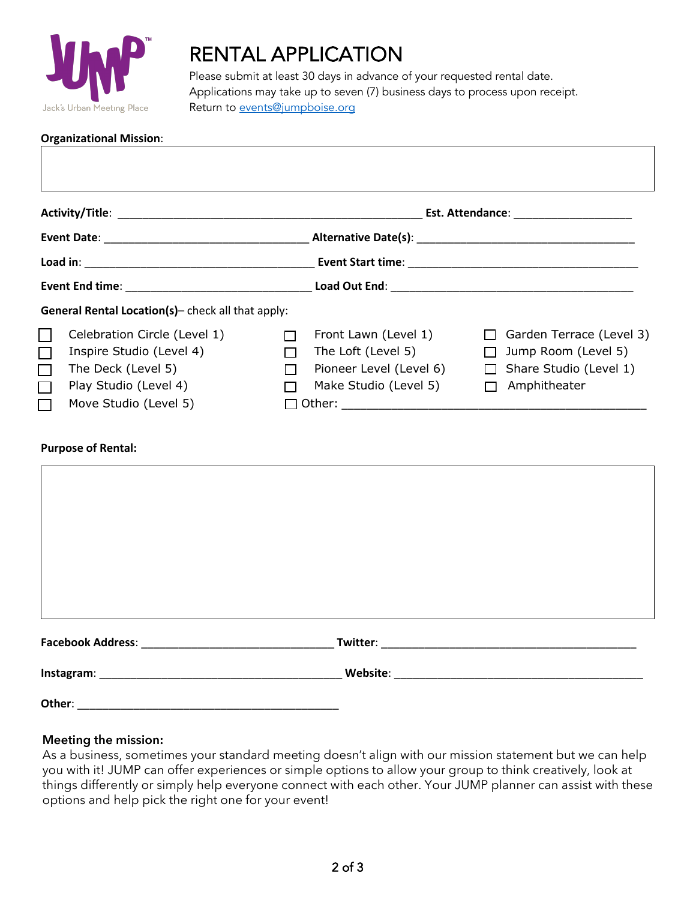

## RENTAL APPLICATION

Please submit at least 30 days in advance of your requested rental date. Applications may take up to seven (7) business days to process upon receipt. Return to events@jumpboise.org

| <b>Organizational Mission:</b> |  |
|--------------------------------|--|
|--------------------------------|--|

|                                                                                                                                                                           |  | Est. Attendance: _______________________                                                       |                                                                                           |  |
|---------------------------------------------------------------------------------------------------------------------------------------------------------------------------|--|------------------------------------------------------------------------------------------------|-------------------------------------------------------------------------------------------|--|
|                                                                                                                                                                           |  |                                                                                                |                                                                                           |  |
|                                                                                                                                                                           |  |                                                                                                |                                                                                           |  |
| General Rental Location(s)- check all that apply:                                                                                                                         |  |                                                                                                |                                                                                           |  |
| Celebration Circle (Level 1)<br>LI<br>$\Box$<br>Inspire Studio (Level 4)<br>$\Box$<br>The Deck (Level 5)<br>$\Box$<br>Play Studio (Level 4)<br>П<br>Move Studio (Level 5) |  | Front Lawn (Level 1)<br>The Loft (Level 5)<br>Pioneer Level (Level 6)<br>Make Studio (Level 5) | Garden Terrace (Level 3)<br>Jump Room (Level 5)<br>Share Studio (Level 1)<br>Amphitheater |  |

#### **Purpose of Rental:**

|        | <b>Twitter: Example 2018</b> |  |
|--------|------------------------------|--|
|        |                              |  |
| Other: |                              |  |

### **Meeting the mission:**

As a business, sometimes your standard meeting doesn't align with our mission statement but we can help you with it! JUMP can offer experiences or simple options to allow your group to think creatively, look at things differently or simply help everyone connect with each other. Your JUMP planner can assist with these options and help pick the right one for your event!